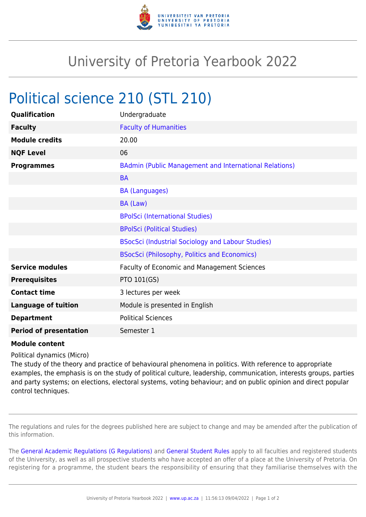

## University of Pretoria Yearbook 2022

## Political science 210 (STL 210)

| Qualification                 | Undergraduate                                                 |
|-------------------------------|---------------------------------------------------------------|
| <b>Faculty</b>                | <b>Faculty of Humanities</b>                                  |
| <b>Module credits</b>         | 20.00                                                         |
| <b>NQF Level</b>              | 06                                                            |
| <b>Programmes</b>             | <b>BAdmin (Public Management and International Relations)</b> |
|                               | <b>BA</b>                                                     |
|                               | <b>BA (Languages)</b>                                         |
|                               | BA (Law)                                                      |
|                               | <b>BPolSci (International Studies)</b>                        |
|                               | <b>BPolSci (Political Studies)</b>                            |
|                               | <b>BSocSci (Industrial Sociology and Labour Studies)</b>      |
|                               | <b>BSocSci (Philosophy, Politics and Economics)</b>           |
| <b>Service modules</b>        | Faculty of Economic and Management Sciences                   |
| <b>Prerequisites</b>          | PTO 101(GS)                                                   |
| <b>Contact time</b>           | 3 lectures per week                                           |
| <b>Language of tuition</b>    | Module is presented in English                                |
| <b>Department</b>             | <b>Political Sciences</b>                                     |
| <b>Period of presentation</b> | Semester 1                                                    |

## **Module content**

Political dynamics (Micro)

The study of the theory and practice of behavioural phenomena in politics. With reference to appropriate examples, the emphasis is on the study of political culture, leadership, communication, interests groups, parties and party systems; on elections, electoral systems, voting behaviour; and on public opinion and direct popular control techniques.

The regulations and rules for the degrees published here are subject to change and may be amended after the publication of this information.

The [General Academic Regulations \(G Regulations\)](https://www.up.ac.za/faculty-of-education/yearbooks/2022/rules/view/REG) and [General Student Rules](https://www.up.ac.za/faculty-of-education/yearbooks/2022/rules/view/RUL) apply to all faculties and registered students of the University, as well as all prospective students who have accepted an offer of a place at the University of Pretoria. On registering for a programme, the student bears the responsibility of ensuring that they familiarise themselves with the